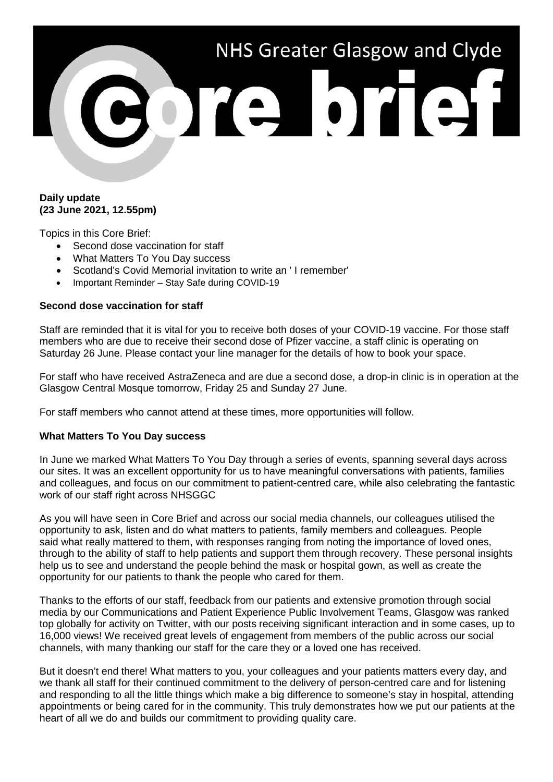

## **Daily update (23 June 2021, 12.55pm)**

Topics in this Core Brief:

- Second dose vaccination for staff
- What Matters To You Day success
- Scotland's Covid Memorial invitation to write an ' I remember'
- Important Reminder Stay Safe during COVID-19

## **Second dose vaccination for staff**

Staff are reminded that it is vital for you to receive both doses of your COVID-19 vaccine. For those staff members who are due to receive their second dose of Pfizer vaccine, a staff clinic is operating on Saturday 26 June. Please contact your line manager for the details of how to book your space.

For staff who have received AstraZeneca and are due a second dose, a drop-in clinic is in operation at the Glasgow Central Mosque tomorrow, Friday 25 and Sunday 27 June.

For staff members who cannot attend at these times, more opportunities will follow.

#### **What Matters To You Day success**

In June we marked What Matters To You Day through a series of events, spanning several days across our sites. It was an excellent opportunity for us to have meaningful conversations with patients, families and colleagues, and focus on our commitment to patient-centred care, while also celebrating the fantastic work of our staff right across NHSGGC

As you will have seen in Core Brief and across our social media channels, our colleagues utilised the opportunity to ask, listen and do what matters to patients, family members and colleagues. People said what really mattered to them, with responses ranging from noting the importance of loved ones, through to the ability of staff to help patients and support them through recovery. These personal insights help us to see and understand the people behind the mask or hospital gown, as well as create the opportunity for our patients to thank the people who cared for them.

Thanks to the efforts of our staff, feedback from our patients and extensive promotion through social media by our Communications and Patient Experience Public Involvement Teams, Glasgow was ranked top globally for activity on Twitter, with our posts receiving significant interaction and in some cases, up to 16,000 views! We received great levels of engagement from members of the public across our social channels, with many thanking our staff for the care they or a loved one has received.

But it doesn't end there! What matters to you, your colleagues and your patients matters every day, and we thank all staff for their continued commitment to the delivery of person-centred care and for listening and responding to all the little things which make a big difference to someone's stay in hospital, attending appointments or being cared for in the community. This truly demonstrates how we put our patients at the heart of all we do and builds our commitment to providing quality care.